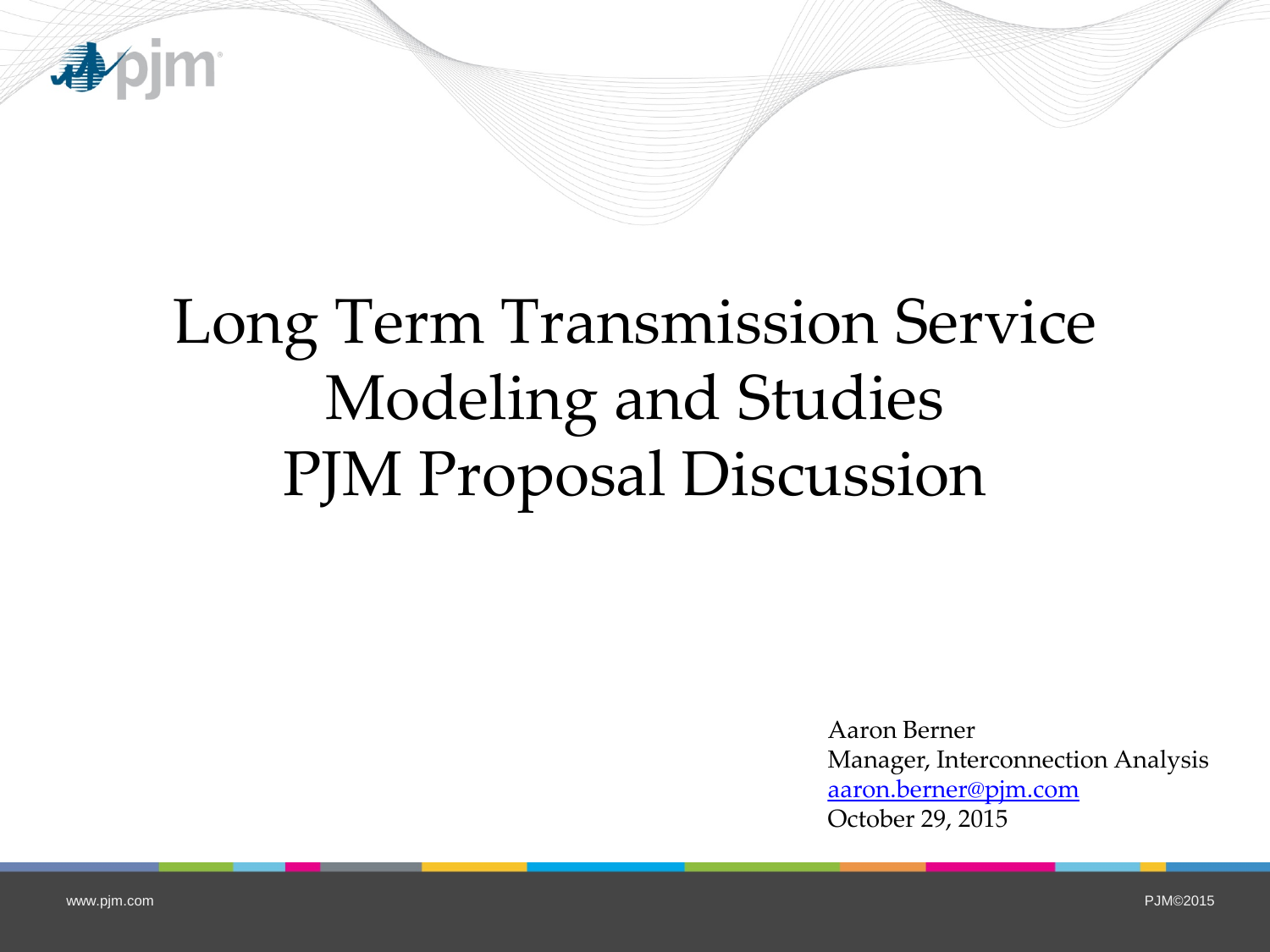

## Long Term Transmission Service Modeling and Studies PJM Proposal Discussion

Aaron Berner Manager, Interconnection Analysis [aaron.berner@pjm.com](mailto:aaron.berner@pjm.com) October 29, 2015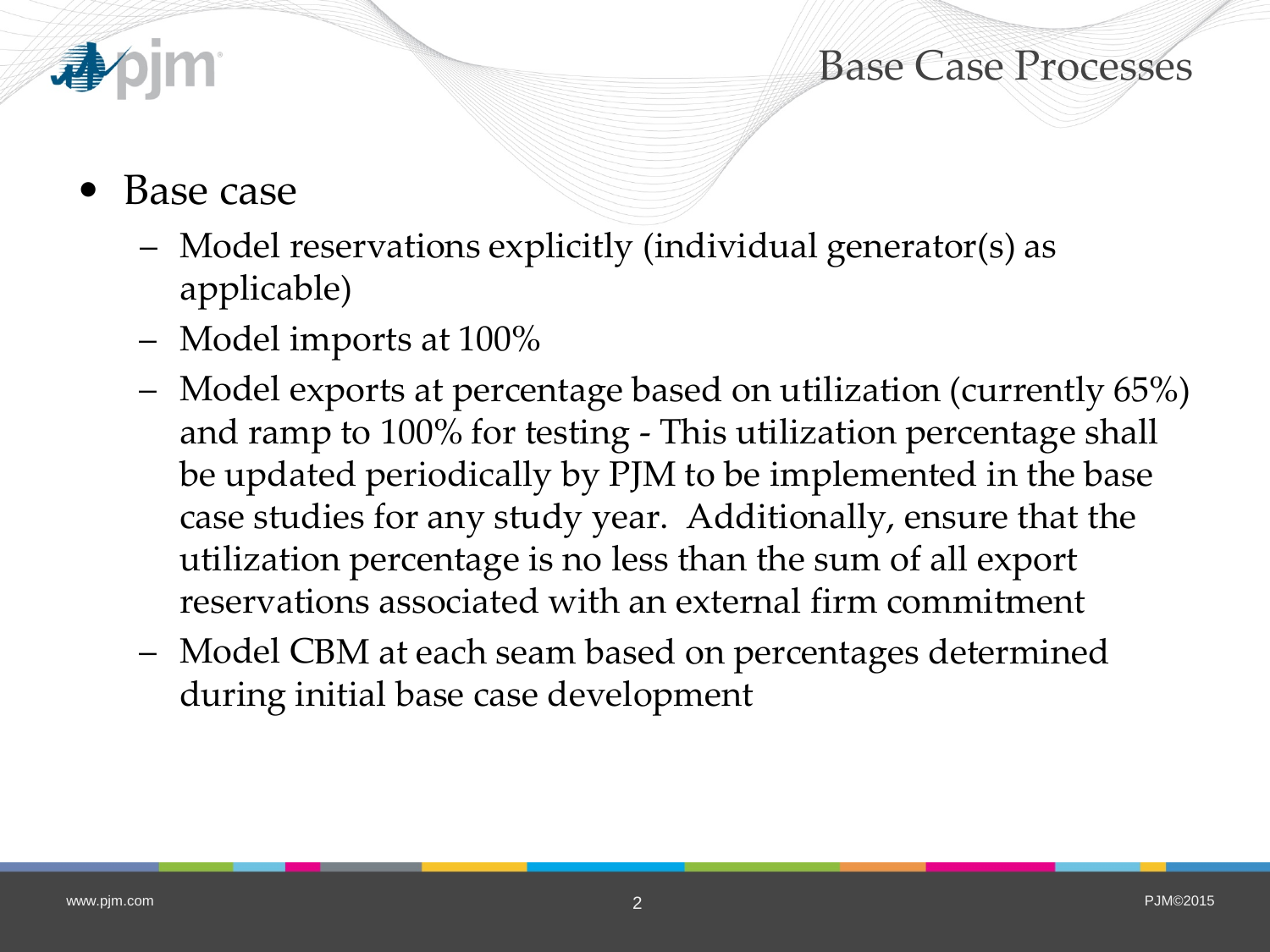## Base Case Processes



- Base case
	- Model reservations explicitly (individual generator(s) as applicable)
	- Model imports at 100%
	- Model exports at percentage based on utilization (currently 65%) and ramp to 100% for testing - This utilization percentage shall be updated periodically by PJM to be implemented in the base case studies for any study year. Additionally, ensure that the utilization percentage is no less than the sum of all export reservations associated with an external firm commitment
	- Model CBM at each seam based on percentages determined during initial base case development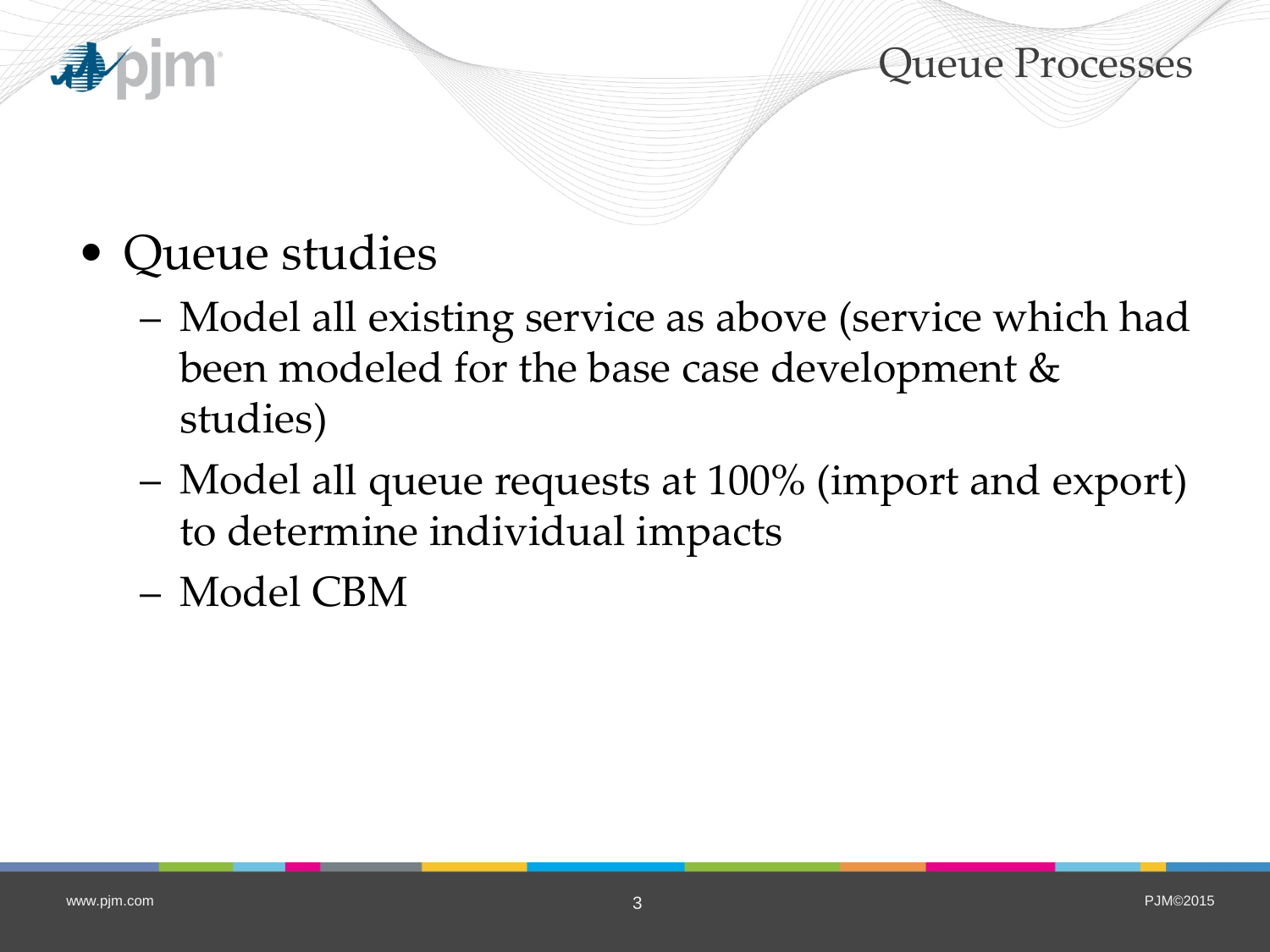

Queue Processes

- Queue studies
	- Model all existing service as above (service which had been modeled for the base case development & studies)
	- Model all queue requests at 100% (import and export) to determine individual impacts
	- Model CBM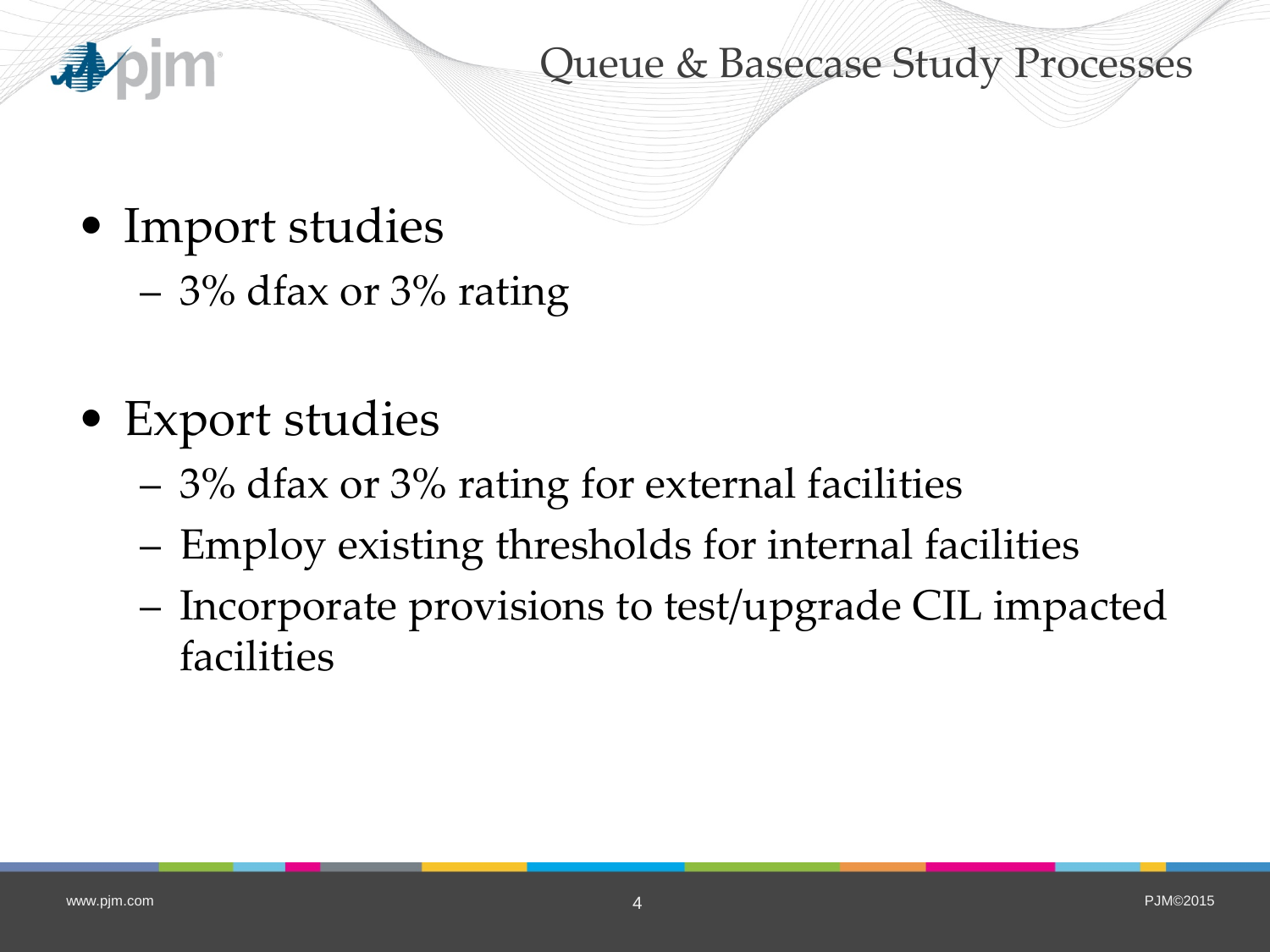

Queue & Basecase Study Processes

- Import studies
	- 3% dfax or 3% rating
- Export studies
	- 3% dfax or 3% rating for external facilities
	- Employ existing thresholds for internal facilities
	- Incorporate provisions to test/upgrade CIL impacted facilities